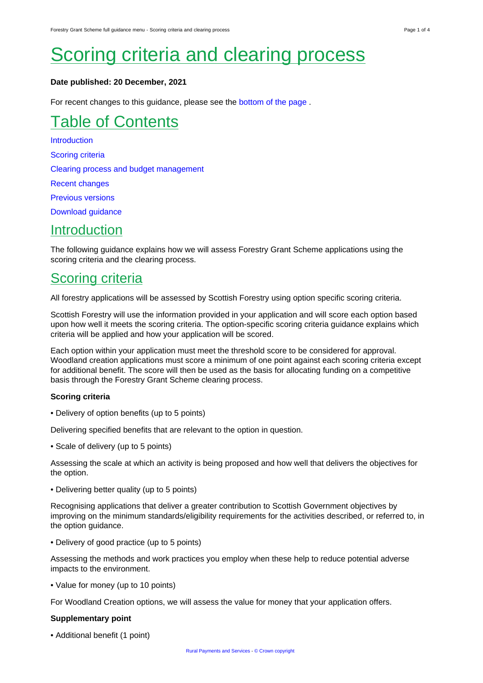# **Scoring criteria and clearing process**

#### **Date published: 20 December, 2021**

For recent changes to this guidance, please see the [bottom of the page .](#page-3-0)

## Table of Contents

**[Introduction](#page-0-0)** [Scoring criteria](#page-0-1) [Clearing process and budget management](#page-1-0) [Recent changes](#page-3-1) [Previous versions](#page-3-0) [Download guidance](#page-3-2)

### <span id="page-0-0"></span>**Introduction**

The following guidance explains how we will assess Forestry Grant Scheme applications using the scoring criteria and the clearing process.

### <span id="page-0-1"></span>Scoring criteria

All forestry applications will be assessed by Scottish Forestry using option specific scoring criteria.

Scottish Forestry will use the information provided in your application and will score each option based upon how well it meets the scoring criteria. The option-specific scoring criteria guidance explains which criteria will be applied and how your application will be scored.

Each option within your application must meet the threshold score to be considered for approval. Woodland creation applications must score a minimum of one point against each scoring criteria except for additional benefit. The score will then be used as the basis for allocating funding on a competitive basis through the Forestry Grant Scheme clearing process.

#### **Scoring criteria**

• Delivery of option benefits (up to 5 points)

Delivering specified benefits that are relevant to the option in question.

• Scale of delivery (up to 5 points)

Assessing the scale at which an activity is being proposed and how well that delivers the objectives for the option.

• Delivering better quality (up to 5 points)

Recognising applications that deliver a greater contribution to Scottish Government objectives by improving on the minimum standards/eligibility requirements for the activities described, or referred to, in the option guidance.

• Delivery of good practice (up to 5 points)

Assessing the methods and work practices you employ when these help to reduce potential adverse impacts to the environment.

• Value for money (up to 10 points)

For Woodland Creation options, we will assess the value for money that your application offers.

#### **Supplementary point**

• Additional benefit (1 point)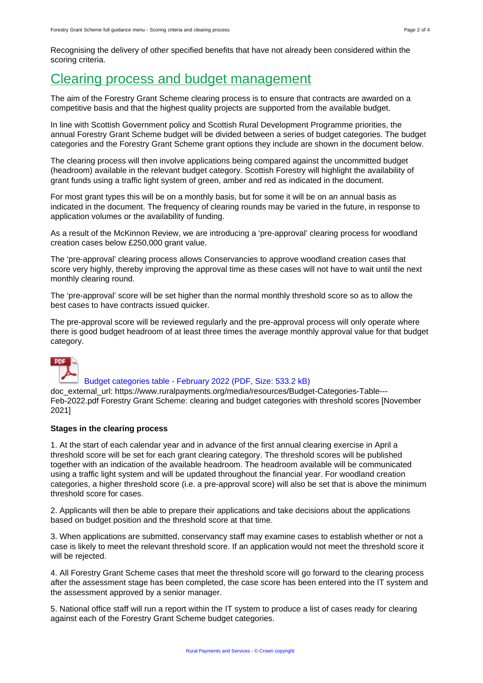Recognising the delivery of other specified benefits that have not already been considered within the scoring criteria.

### <span id="page-1-0"></span>Clearing process and budget management

The aim of the Forestry Grant Scheme clearing process is to ensure that contracts are awarded on a competitive basis and that the highest quality projects are supported from the available budget.

In line with Scottish Government policy and Scottish Rural Development Programme priorities, the annual Forestry Grant Scheme budget will be divided between a series of budget categories. The budget categories and the Forestry Grant Scheme grant options they include are shown in the document below.

The clearing process will then involve applications being compared against the uncommitted budget (headroom) available in the relevant budget category. Scottish Forestry will highlight the availability of grant funds using a traffic light system of green, amber and red as indicated in the document.

For most grant types this will be on a monthly basis, but for some it will be on an annual basis as indicated in the document. The frequency of clearing rounds may be varied in the future, in response to application volumes or the availability of funding.

As a result of the McKinnon Review, we are introducing a 'pre-approval' clearing process for woodland creation cases below £250,000 grant value.

The 'pre-approval' clearing process allows Conservancies to approve woodland creation cases that score very highly, thereby improving the approval time as these cases will not have to wait until the next monthly clearing round.

The 'pre-approval' score will be set higher than the normal monthly threshold score so as to allow the best cases to have contracts issued quicker.

The pre-approval score will be reviewed regularly and the pre-approval process will only operate where there is good budget headroom of at least three times the average monthly approval value for that budget category.



#### [Budget categories table - February 2022 \(PDF, Size: 533.2 kB\)](https://www.ruralpayments.org/media/resources/Budget-Categories-Table---Feb-2022.pdf)

doc\_external\_url: https://www.ruralpayments.org/media/resources/Budget-Categories-Table--- Feb-2022.pdf Forestry Grant Scheme: clearing and budget categories with threshold scores [November 2021]

#### **Stages in the clearing process**

1. At the start of each calendar year and in advance of the first annual clearing exercise in April a threshold score will be set for each grant clearing category. The threshold scores will be published together with an indication of the available headroom. The headroom available will be communicated using a traffic light system and will be updated throughout the financial year. For woodland creation categories, a higher threshold score (i.e. a pre-approval score) will also be set that is above the minimum threshold score for cases.

2. Applicants will then be able to prepare their applications and take decisions about the applications based on budget position and the threshold score at that time.

3. When applications are submitted, conservancy staff may examine cases to establish whether or not a case is likely to meet the relevant threshold score. If an application would not meet the threshold score it will be rejected.

4. All Forestry Grant Scheme cases that meet the threshold score will go forward to the clearing process after the assessment stage has been completed, the case score has been entered into the IT system and the assessment approved by a senior manager.

5. National office staff will run a report within the IT system to produce a list of cases ready for clearing against each of the Forestry Grant Scheme budget categories.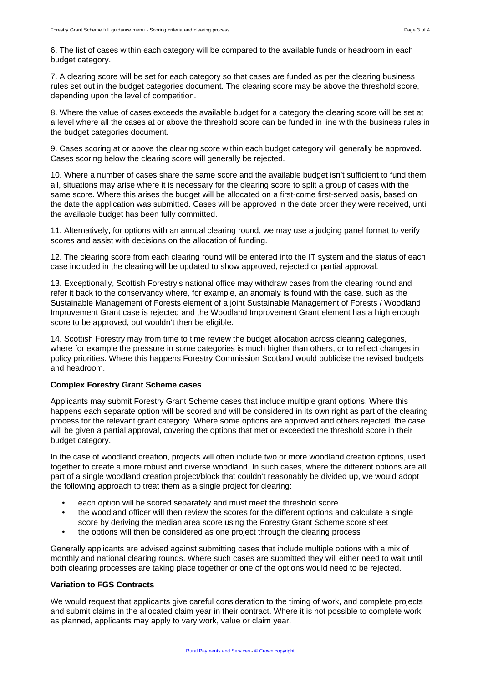7. A clearing score will be set for each category so that cases are funded as per the clearing business rules set out in the budget categories document. The clearing score may be above the threshold score, depending upon the level of competition.

8. Where the value of cases exceeds the available budget for a category the clearing score will be set at a level where all the cases at or above the threshold score can be funded in line with the business rules in the budget categories document.

9. Cases scoring at or above the clearing score within each budget category will generally be approved. Cases scoring below the clearing score will generally be rejected.

10. Where a number of cases share the same score and the available budget isn't sufficient to fund them all, situations may arise where it is necessary for the clearing score to split a group of cases with the same score. Where this arises the budget will be allocated on a first-come first-served basis, based on the date the application was submitted. Cases will be approved in the date order they were received, until the available budget has been fully committed.

11. Alternatively, for options with an annual clearing round, we may use a judging panel format to verify scores and assist with decisions on the allocation of funding.

12. The clearing score from each clearing round will be entered into the IT system and the status of each case included in the clearing will be updated to show approved, rejected or partial approval.

13. Exceptionally, Scottish Forestry's national office may withdraw cases from the clearing round and refer it back to the conservancy where, for example, an anomaly is found with the case, such as the Sustainable Management of Forests element of a joint Sustainable Management of Forests / Woodland Improvement Grant case is rejected and the Woodland Improvement Grant element has a high enough score to be approved, but wouldn't then be eligible.

14. Scottish Forestry may from time to time review the budget allocation across clearing categories, where for example the pressure in some categories is much higher than others, or to reflect changes in policy priorities. Where this happens Forestry Commission Scotland would publicise the revised budgets and headroom.

#### **Complex Forestry Grant Scheme cases**

Applicants may submit Forestry Grant Scheme cases that include multiple grant options. Where this happens each separate option will be scored and will be considered in its own right as part of the clearing process for the relevant grant category. Where some options are approved and others rejected, the case will be given a partial approval, covering the options that met or exceeded the threshold score in their budget category.

In the case of woodland creation, projects will often include two or more woodland creation options, used together to create a more robust and diverse woodland. In such cases, where the different options are all part of a single woodland creation project/block that couldn't reasonably be divided up, we would adopt the following approach to treat them as a single project for clearing:

- each option will be scored separately and must meet the threshold score
- the woodland officer will then review the scores for the different options and calculate a single score by deriving the median area score using the Forestry Grant Scheme score sheet
- the options will then be considered as one project through the clearing process

Generally applicants are advised against submitting cases that include multiple options with a mix of monthly and national clearing rounds. Where such cases are submitted they will either need to wait until both clearing processes are taking place together or one of the options would need to be rejected.

#### **Variation to FGS Contracts**

We would request that applicants give careful consideration to the timing of work, and complete projects and submit claims in the allocated claim year in their contract. Where it is not possible to complete work as planned, applicants may apply to vary work, value or claim year.